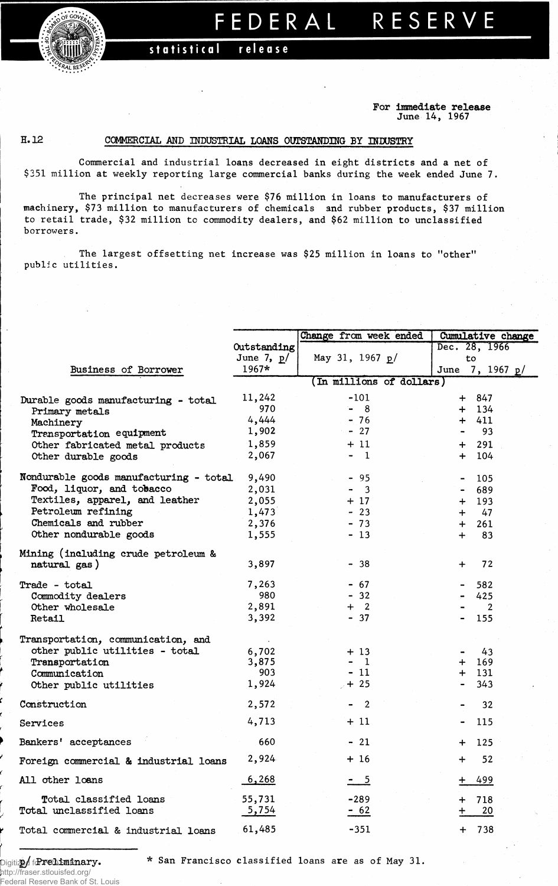**FEDERA L RESERV E** 

statistical release

**For Immediate release June 14, 1967**

## **H. 12**

## **COMMERCIAL AND INDUSTRIAL LOANS OUTSTANDING BY INDUSTRY**

**Commercial and industrial loans decreased in eight districts and a net of \$351 million at weekly reporting large commercial banks during the week ended June 7.**

**The principal net decreases were \$76 million in loans to manufacturers of machinery, \$73 million to manufacturers of chemicals and rubber products, \$37 million to retail trade, \$32 million to commodity dealers, and \$62 million to unclassified borrowers.** 

**The largest offsetting net increase was \$25 million in loans to "other" public utilities.**

|                                        |              | Change from week ended                    | Cumulative change    |  |  |  |  |
|----------------------------------------|--------------|-------------------------------------------|----------------------|--|--|--|--|
|                                        | Outstanding  |                                           | Dec. 28, 1966        |  |  |  |  |
|                                        | June 7, $p/$ | May 31, 1967 $p/$                         | to                   |  |  |  |  |
| Business of Borrower                   | $1967*$      |                                           | 7, 1967 $p/$<br>June |  |  |  |  |
|                                        |              | (In millions of dollars)                  |                      |  |  |  |  |
| Durable goods manufacturing - total    | 11,242       | $-101$                                    | 847<br>$+$           |  |  |  |  |
| Primary metals                         | 970          | 8<br>$\blacksquare$                       | 134<br>┿             |  |  |  |  |
| Machinery                              | 4,444        | $-76$                                     | 411<br>┿             |  |  |  |  |
| Transportation equipment               | 1,902        | $-27$                                     | 93                   |  |  |  |  |
| Other fabricated metal products        | 1,859        | + 11                                      | 291                  |  |  |  |  |
| Other durable goods                    | 2,067        | $-1$                                      | 104<br>$+$           |  |  |  |  |
| Nondurable goods manufacturing - total | 9,490        | $-95$                                     | 105                  |  |  |  |  |
| Food, liquor, and tobacco              | 2,031        | $\overline{\mathbf{3}}$<br>$\blacksquare$ | 689                  |  |  |  |  |
| Textiles, apparel, and leather         | 2,055        | + 17                                      | 193<br>$+$           |  |  |  |  |
| Petroleum refining                     | 1,473        | $-23$                                     | 47<br>$\div$         |  |  |  |  |
| Chemicals and rubber                   | 2,376        | $-73$                                     | 261<br>$+$           |  |  |  |  |
| Other nondurable goods                 | 1,555        | $-13$                                     | 83<br>$\div$         |  |  |  |  |
| Mining (including crude petroleum &    |              |                                           |                      |  |  |  |  |
| natural gas)                           | 3,897        | $-38$                                     | 72<br>$\bm{+}$       |  |  |  |  |
| Trade - total                          | 7,263        | $-67$                                     | 582                  |  |  |  |  |
| Commodity dealers                      | 980          | $-32$                                     | 425                  |  |  |  |  |
| Other wholesale                        | 2,891        | $\overline{\phantom{a}}$<br>$\pm$         | $\overline{2}$       |  |  |  |  |
| Retail                                 | 3,392        | $-37$                                     | 155                  |  |  |  |  |
| Transportation, communication, and     |              |                                           |                      |  |  |  |  |
| other public utilities - total         | 6,702        | + 13                                      | 43                   |  |  |  |  |
| Transportation                         | 3,875        | $\mathbf{1}$                              | 169<br>┿             |  |  |  |  |
| Communication                          | 903          | - 11                                      | 131<br>$+$           |  |  |  |  |
| Other public utilities                 | 1,924        | $+25$                                     | 343                  |  |  |  |  |
| Construction                           | 2,572        | $\overline{2}$                            | 32                   |  |  |  |  |
| Services                               | 4,713        | $+11$                                     | 115                  |  |  |  |  |
| Bankers' acceptances                   | 660          | $-21$                                     | 125<br>$+$           |  |  |  |  |
| Foreign commercial & industrial loans  | 2,924        | $+16$                                     | 52<br>$\div$         |  |  |  |  |
| All other loans                        | 6,268        | $-5$                                      | 499                  |  |  |  |  |
| Total classified loans                 | 55,731       | $-289$                                    | 718                  |  |  |  |  |
| Total unclassified loans               | 5,754        | $-62$                                     | 20                   |  |  |  |  |
| Total commercial & industrial loans    | 61,485       | $-351$                                    | 738<br>$+$           |  |  |  |  |

Digitized **2/** for **Preliminary**

http://fraser.stlouisfed.org/ Federal Reserve Bank of St. Louis